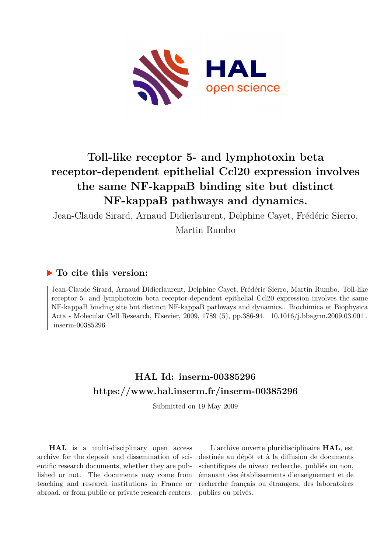

# **Toll-like receptor 5- and lymphotoxin beta receptor-dependent epithelial Ccl20 expression involves the same NF-kappaB binding site but distinct NF-kappaB pathways and dynamics.**

Jean-Claude Sirard, Arnaud Didierlaurent, Delphine Cayet, Frédéric Sierro,

Martin Rumbo

## **To cite this version:**

Jean-Claude Sirard, Arnaud Didierlaurent, Delphine Cayet, Frédéric Sierro, Martin Rumbo. Toll-like receptor 5- and lymphotoxin beta receptor-dependent epithelial Ccl20 expression involves the same NF-kappaB binding site but distinct NF-kappaB pathways and dynamics.. Biochimica et Biophysica Acta - Molecular Cell Research, Elsevier, 2009, 1789 (5), pp.386-94.  $10.1016/j.bbagrm.2009.03.001$ .  $inserm-00385296$ 

## **HAL Id: inserm-00385296 <https://www.hal.inserm.fr/inserm-00385296>**

Submitted on 19 May 2009

**HAL** is a multi-disciplinary open access archive for the deposit and dissemination of scientific research documents, whether they are published or not. The documents may come from teaching and research institutions in France or abroad, or from public or private research centers.

L'archive ouverte pluridisciplinaire **HAL**, est destinée au dépôt et à la diffusion de documents scientifiques de niveau recherche, publiés ou non, émanant des établissements d'enseignement et de recherche français ou étrangers, des laboratoires publics ou privés.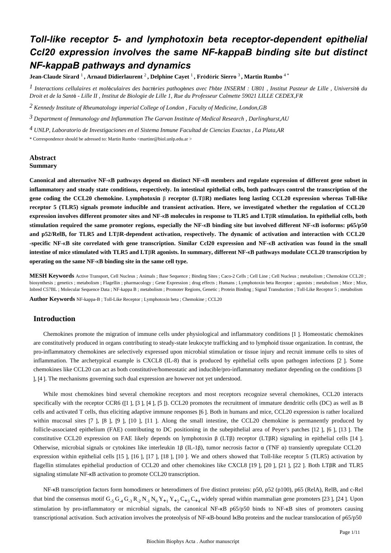## *Toll-like receptor 5- and lymphotoxin beta receptor-dependent epithelial Ccl20 expression involves the same NF-kappaB binding site but distinct NF-kappaB pathways and dynamics*

**Jean-Claude Sirard** <sup>1</sup> **, Arnaud Didierlaurent** <sup>2</sup> **, Delphine Cayet** <sup>1</sup> **, Fr**é**d**é**ric Sierro** <sup>3</sup> **, Martin Rumbo** 4 \*

*Interactions cellulaires et mol culaires des bact ries pathog nes avec l h te 1* <sup>é</sup> <sup>é</sup> <sup>è</sup> ' <sup>ô</sup> *INSERM : U801 , Institut Pasteur de Lille , Universit*é *du Droit et de la Sant*é *- Lille II , Institut de Biologie de Lille 1, Rue du Professeur Calmette 59021 LILLE CEDEX,FR*

<sup>2</sup> Kennedy Institute of Rheumatology imperial College of London, Faculty of Medicine, London, GB

*Department of Immunology and Inflammation 3 The Garvan Institute of Medical Research , Darlinghurst,AU*

*UNLP, Laboratorio de Investigaciones en el Sistema Inmune 4 Facultad de Ciencias Exactas , La Plata,AR*

\* Correspondence should be adressed to: Martin Rumbo <martinr@biol.unlp.edu.ar >

## **Abstract Summary**

**Canonical and alternative NF-**κ**B pathways depend on distinct NF-**κ**B members and regulate expression of different gene subset in inflammatory and steady state conditions, respectively. In intestinal epithelial cells, both pathways control the transcription of the gene coding the CCL20 chemokine. Lymphotoxin** β **receptor (LT**β**R) mediates long lasting CCL20 expression whereas Toll-like receptor 5 (TLR5) signals promote inducible and transient activation. Here, we investigated whether the regulation of CCL20 expression involves different promoter sites and NF-**κ**B molecules in response to TLR5 and LT**β**R stimulation. In epithelial cells, both stimulation required the same promoter regions, especially the NF-**κ**B binding site but involved different NF-**κ**B isoforms: p65/p50 and p52/RelB, for TLR5 and LT**β**R-dependent activation, respectively. The dynamic of activation and interaction with CCL20 -specific NF-**κ**B site correlated with gene transcription. Similar Ccl20 expression and NF-**κ**B activation was found in the small intestine of mice stimulated with TLR5 and LT**β**R agonists. In summary, different NF-**κ**B pathways modulate CCL20 transcription by operating on the same NF-**κ**B binding site in the same cell type.**

**MESH Keywords** Active Transport, Cell Nucleus ; Animals ; Base Sequence ; Binding Sites ; Caco-2 Cells ; Cell Line ; Cell Nucleus ; metabolism ; Chemokine CCL20 ; biosynthesis ; genetics ; metabolism ; Flagellin ; pharmacology ; Gene Expression ; drug effects ; Humans ; Lymphotoxin beta Receptor ; agonists ; metabolism ; Mice ; Mice, Inbred C57BL ; Molecular Sequence Data ; NF-kappa B ; metabolism ; Promoter Regions, Genetic ; Protein Binding ; Signal Transduction ; Toll-Like Receptor 5 ; metabolism

**Author Keywords** NF-kappa-B ; Toll-Like Receptor ; Lymphotoxin beta ; Chemokine ; CCL20

## **Introduction**

Chemokines promote the migration of immune cells under physiological and inflammatory conditions [1 ]. Homeostatic chemokines are constitutively produced in organs contributing to steady-state leukocyte trafficking and to lymphoid tissue organization. In contrast, the pro-inflammatory chemokines are selectively expressed upon microbial stimulation or tissue injury and recruit immune cells to sites of inflammation. The archetypical example is CXCL8 (IL-8) that is produced by epithelial cells upon pathogen infections [2 ]. Some chemokines like CCL20 can act as both constitutive/homeostatic and inducible/pro-inflammatory mediator depending on the conditions [3 ], [4 ]. The mechanisms governing such dual expression are however not yet understood.

While most chemokines bind several chemokine receptors and most receptors recognize several chemokines, CCL20 interacts specifically with the receptor CCR6 ([1 ], [3 ], [4 ], [5 ]). CCL20 promotes the recruitment of immature dendritic cells (DC) as well as B cells and activated T cells, thus eliciting adaptive immune responses [6 ]. Both in humans and mice, CCL20 expression is rather localized within mucosal sites [7], [8], [9], [10], [11]. Along the small intestine, the CCL20 chemokine is permanently produced by follicle-associated epithelium (FAE) contributing to DC positioning in the subepithelial area of Peyer's patches [12 ], [6 ], [13 ]. The constitutive CCL20 expression on FAE likely depends on lymphotoxin β (LTβ) receptor (LTβR) signaling in epithelial cells [14 ]. Otherwise, microbial signals or cytokines like interleukin 1β (IL-1β), tumor necrosis factor α (TNF α) transiently upregulate CCL20 expression within epithelial cells [15 ], [16 ], [17 ], [18 ], [10 ]. We and others showed that Toll-like receptor 5 (TLR5) activation by flagellin stimulates epithelial production of CCL20 and other chemokines like CXCL8 [19 ], [20 ], [21 ], [22 ]. Both LTβR and TLR5 signaling stimulate NF-κB activation to promote CCL20 transcription.

NF-κB transcription factors form homodimers or heterodimers of five distinct proteins: p50, p52 (p100), p65 (RelA), RelB, and c-Rel that bind the consensus motif  $G_5 G_4 G_3 R_2 N_1 N_0 Y_{+1} Y_{+2} C_{+3} C_{+4}$  widely spread within mammalian gene promoters [23 ], [24 ]. Upon stimulation by pro-inflammatory or microbial signals, the canonical NF-κB p65/p50 binds to NF-κB sites of promoters causing transcriptional activation. Such activation involves the proteolysis of NF-κB-bound IκBα proteins and the nuclear translocation of p65/p50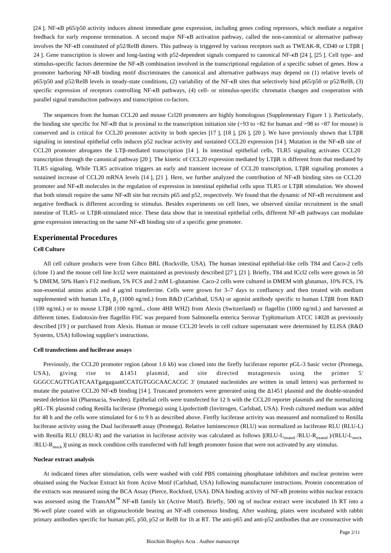[24 ]. NF-κB p65/p50 activity induces almost immediate gene expression, including genes coding repressors, which mediate a negative feedback for early response termination. A second major NF-κB activation pathway, called the non-canonical or alternative pathway involves the NF-κB constituted of p52/RelB dimers. This pathway is triggered by various receptors such as TWEAK-R, CD40 or LTβR [ 24 ]. Gene transcription is slower and long-lasting with p52-dependent signals compared to canonical NF-κB [24 ], [25 ]. Cell type- and stimulus-specific factors determine the NF-κB combination involved in the transcriptional regulation of a specific subset of genes. How a promoter harboring NF-κB binding motif discriminates the canonical and alternative pathways may depend on (1) relative levels of p65/p50 and p52/RelB levels in steady-state conditions, (2) variability of the NF-κB sites that selectively bind p65/p50 or p52/RelB, (3) specific expression of receptors controlling NF-κB pathways, (4) cell- or stimulus-specific chromatin changes and cooperation with parallel signal transduction pathways and transcription co-factors.

The sequences from the human CCL20 and mouse Ccl20 promoters are highly homologous (Supplementary Figure 1 ). Particularly, the binding site specific for NF-κB that is proximal to the transcription initiation site (−93 to −82 for human and −98 to −87 for mouse) is conserved and is critical for CCL20 promoter activity in both species [17 ], [18 ], [26 ], [20 ]. We have previously shown that LTβR signaling in intestinal epithelial cells induces p52 nuclear activity and sustained CCL20 expression [14 ]. Mutation in the NF-κB site of CCL20 promoter abrogates the LTβ-mediated transcription [14 ]. In intestinal epithelial cells, TLR5 signaling activates CCL20 transcription through the canonical pathway [20 ]. The kinetic of CCL20 expression mediated by LTβR is different from that mediated by TLR5 signaling. While TLR5 activation triggers an early and transient increase of CCL20 transcription, LTβR signaling promotes a sustained increase of CCL20 mRNA levels [14 ], [21 ]. Here, we further analyzed the contribution of NF-κB binding sites on CCL20 promoter and NF-κB molecules in the regulation of expression in intestinal epithelial cells upon TLR5 or LTβR stimulation. We showed that both stimuli require the same NF-κB site but recruits p65 and p52, respectively. We found that the dynamic of NF-κB recruitment and negative feedback is different according to stimulus. Besides experiments on cell lines, we observed similar recruitment in the small intestine of TLR5- or LTβR-stimulated mice. These data show that in intestinal epithelial cells, different NF-κB pathways can modulate gene expression interacting on the same NF-κB binding site of a specific gene promoter.

## **Experimental Procedures**

## **Cell Culture**

All cell culture products were from Gibco BRL (Rockville, USA). The human intestinal epithelial-like cells T84 and Caco-2 cells (clone 1) and the mouse cell line Iccl2 were maintained as previously described [27 ], [21 ]. Briefly, T84 and ICcl2 cells were grown in 50 % DMEM, 50% Ham's F12 medium, 5% FCS and 2 mM L-glutamine. Caco-2 cells were cultured in DMEM with glutamax, 10% FCS, 1% non-essential amino acids and 4 μg/ml transferrine. Cells were grown for 3–7 days to confluency and then treated with medium supplemented with human LTα<sub>1</sub> β<sub>2</sub> (1000 ng/mL) from R&D (Carlsbad, USA) or agonist antibody specific to human LTβR from R&D (100 ng/mL) or to mouse LTβR (100 ng/mL, clone 4H8 WH2) from Alexis (Switzerland) or flagellin (1000 ng/mL) and harvested at different times. Endotoxin-free flagellin FliC was prepared from Salmonella enterica Serovar Typhimurium ATCC 14028 as previously described [19 ] or purchased from Alexis. Human or mouse CCL20 levels in cell culture supernatant were determined by ELISA (R&D Systems, USA) following supplier's instructions.

#### **Cell transfections and luciferase assays**

Previously, the CCL20 promoter region (about 1.6 kb) was cloned into the firefly luciferase reporter pGL-3 basic vector (Promega, USA), giving rise to Δ1451 plasmid, and site directed mutagenesis using the primer 5′ GGGCCAGTTGATCAATgatgagaattCCATGTGGCAACACGC 3′ (mutated nucleotides are written in small letters) was performed to mutate the putative CCL20 NF-κB binding [14 ]. Truncated promoters were generated using the Δ1451 plasmid and the double-stranded nested deletion kit (Pharmacia, Sweden). Epithelial cells were transfected for 12 h with the CCL20 reporter plasmids and the normalizing pRL-TK plasmid coding Renilla luciferase (Promega) using Lipofectin® (Invitrogen, Carlsbad, USA). Fresh cultured medium was added for 48 h and the cells were stimulated for 6 to 9 h as described above. Firefly luciferase activity was measured and normalized to Renilla luciferase activity using the Dual luciferase® assay (Promega). Relative luminescence (RLU) was normalized as luciferase RLU (RLU-L) with Renilla RLU (RLU-R) and the variation in luciferase activity was calculated as follows  $[(RLU-L_{\text{treated}}/RLU-R_{\text{treated}})/(RLU-L_{\text{model}})$ /RLU-R<sub>mock</sub>)] using as mock condition cells transfected with full length promoter fusion that were not activated by any stimulus.

#### **Nuclear extract analysis**

At indicated times after stimulation, cells were washed with cold PBS containing phosphatase inhibitors and nuclear proteins were obtained using the Nuclear Extract kit from Active Motif (Carlsbad, USA) following manufacturer instructions. Protein concentration of the extracts was measured using the BCA Assay (Pierce, Rockford, USA). DNA binding activity of NF-κB proteins within nuclear extracts was assessed using the TransAM™ NF-KB family kit (Active Motif). Briefly, 500 ng of nuclear extract were incubated 1h RT into a 96-well plate coated with an oligonucleotide bearing an NF-κB consensus binding. After washing, plates were incubated with rabbit primary antibodies specific for human p65, p50, p52 or RelB for 1h at RT. The anti-p65 and anti-p52 antibodies that are crossreactive with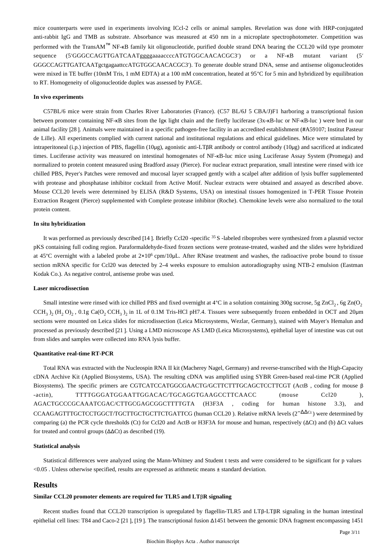mice counterparts were used in experiments involving ICcl-2 cells or animal samples. Revelation was done with HRP-conjugated anti-rabbit IgG and TMB as substrate. Absorbance was measured at 450 nm in a microplate spectrophotometer. Competition was performed with the TransAM™ NF-κB family kit oligonucleotide, purified double strand DNA bearing the CCL20 wild type promoter sequence (5'GGGCCAGTTGATCAATggggaaaaccccATGTGGCAACACGC3') or a NF-KB mutant variant (5' GGGCCAGTTGATCAATgctgagaattccATGTGGCAACACGC3′). To generate double strand DNA, sense and antisense oligonucleotides were mixed in TE buffer (10mM Tris, 1 mM EDTA) at a 100 mM concentration, heated at 95°C for 5 min and hybridized by equilibration to RT. Homogeneity of oligonucleotide duplex was assessed by PAGE.

#### **In vivo experiments**

C57BL/6 mice were strain from Charles River Laboratories (France). (C57 BL/6J 5 CBA/J)F1 harboring a transcriptional fusion between promoter containing NF-κB sites from the Igκ light chain and the firefly luciferase (3x-κB-luc or NF-κB-luc ) were bred in our animal facility [28 ]. Animals were maintained in a specific pathogen-free facility in an accredited establishment (#A59107; Institut Pasteur de Lille). All experiments complied with current national and institutional regulations and ethical guidelines. Mice were stimulated by intraperitoneal (i.p.) injection of PBS, flagellin (10μg), agonistic anti-LTβR antibody or control antibody (10μg) and sacrificed at indicated times. Luciferase activity was measured on intestinal homogenates of NF-κB-luc mice using Luciferase Assay System (Promega) and normalized to protein content measured using Bradford assay (Pierce). For nuclear extract preparation, small intestine were rinsed with ice chilled PBS, Peyer's Patches were removed and mucosal layer scrapped gently with a scalpel after addition of lysis buffer supplemented with protease and phosphatase inhibitor cocktail from Active Motif. Nuclear extracts were obtained and assayed as described above. Mouse CCL20 levels were determined by ELISA (R&D Systems, USA) on intestinal tissues homogenized in T-PER Tissue Protein Extraction Reagent (Pierce) supplemented with Complete protease inhibitor (Roche). Chemokine levels were also normalized to the total protein content.

#### **In situ hybridization**

It was performed as previously described  $[14]$ . Briefly Ccl20 -specific <sup>35</sup> S -labeled riboprobes were synthesized from a plasmid vector pKS containing full coding region. Paraformaldehyde-fixed frozen sections were protease-treated, washed and the slides were hybridized at 45°C overnight with a labeled probe at  $2\times10^6$  cpm/10 $\mu$ L. After RNase treatment and washes, the radioactive probe bound to tissue section mRNA specific for Ccl20 was detected by 2–4 weeks exposure to emulsion autoradiography using NTB-2 emulsion (Eastman Kodak Co.). As negative control, antisense probe was used.

#### **Laser microdissection**

Small intestine were rinsed with ice chilled PBS and fixed overnight at  $4^{\circ}$ C in a solution containing 300g sucrose, 5g ZnCl<sub>2</sub>, 6g Zn(O<sub>2</sub>)  $CCH_3$ )<sub>2</sub> (H<sub>2</sub> O)<sub>2</sub>, 0.1g Ca(O<sub>2</sub> CCH<sub>3</sub>)<sub>2</sub> in 1L of 0.1M Tris-HCl pH7.4. Tissues were subsequently frozen embedded in OCT and 20µm sections were mounted on Leica slides for microdissection (Leica Microsystems, Wezlar, Germany), stained with Mayer's Hemalun and processed as previously described [21 ]. Using a LMD microscope AS LMD (Leica Microsystems), epithelial layer of intestine was cut out from slides and samples were collected into RNA lysis buffer.

#### **Quantitative real-time RT-PCR**

Total RNA was extracted with the Nucleospin RNA II kit (Macherey Nagel, Germany) and reverse-transcribed with the High-Capacity cDNA Archive Kit (Applied Biosystems, USA). The resulting cDNA was amplified using SYBR Green-based real-time PCR (Applied Biosystems). The specific primers are CGTCATCCATGGCGAACTG/GCTTCTTTGCAGCTCCTTCGT (ActB , coding for mouse β -actin), TTTTGGGATGGAATTGGACAC/TGCAGGTGAAGCCTTCAACC (mouse Ccl20 ), AGACTGCCCGCAAATCGAC/CTTGCGAGCGGCTTTTGTA (H3F3A , coding for human histone 3.3), and CCAAGAGTTTGCTCCTGGCT/TGCTTGCTGCTTCTGATTCG (human CCL20). Relative mRNA levels (2<sup>-ΔΔCt</sup>) were determined by comparing (a) the PCR cycle thresholds (Ct) for Ccl20 and ActB or H3F3A for mouse and human, respectively (ΔCt) and (b) ΔCt values for treated and control groups (ΔΔCt) as described (19).

#### **Statistical analysis**

Statistical differences were analyzed using the Mann-Whitney and Student t tests and were considered to be significant for p values <0.05 . Unless otherwise specified, results are expressed as arithmetic means ± standard deviation.

## **Results**

#### **Similar CCL20 promoter elements are required for TLR5 and LT**β**R signaling**

Recent studies found that CCL20 transcription is upregulated by flagellin-TLR5 and LTβ-LTβR signaling in the human intestinal epithelial cell lines: T84 and Caco-2 [21 ], [19 ]. The transcriptional fusion Δ1451 between the genomic DNA fragment encompassing 1451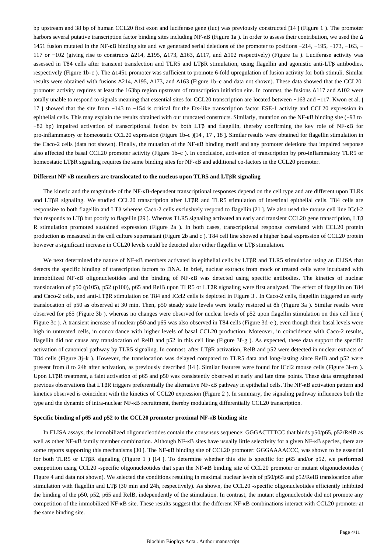bp upstream and 38 bp of human CCL20 first exon and luciferase gene (luc) was previously constructed [14 ] (Figure 1 ). The promoter harbors several putative transcription factor binding sites including NF-κB (Figure 1a ). In order to assess their contribution, we used the Δ 1451 fusion mutated in the NF-κB binding site and we generated serial deletions of the promoter to positions −214, −195, −173, −163, − 117 or −102 (giving rise to constructs Δ214, Δ195, Δ173, Δ163, Δ117, and Δ102 respectively) (Figure 1a ). Luciferase activity was assessed in T84 cells after transient transfection and TLR5 and LTβR stimulation, using flagellin and agonistic anti-LTβ antibodies, respectively (Figure 1b–c ). The Δ1451 promoter was sufficient to promote 6-fold upregulation of fusion activity for both stimuli. Similar results were obtained with fusions Δ214, Δ195, Δ173, and Δ163 (Figure 1b–c and data not shown). These data showed that the CCL20 promoter activity requires at least the 163bp region upstream of transcription initiation site. In contrast, the fusions Δ117 and Δ102 were totally unable to respond to signals meaning that essential sites for CCL20 transcription are located between −163 and −117. Kwon et al. [ 17 ] showed that the site from −143 to −154 is critical for the Ets-like transcription factor ESE-1 activity and CCL20 expression in epithelial cells. This may explain the results obtained with our truncated constructs. Similarly, mutation on the NF-κB binding site (−93 to −82 bp) impaired activation of transcriptional fusion by both LTβ and flagellin, thereby confirming the key role of NF-κB for pro-inflammatory or homeostatic CCL20 expression (Figure 1b–c )[14 , 17 , 18 ]. Similar results were obtained for flagellin stimulation in the Caco-2 cells (data not shown). Finally, the mutation of the NF-κB binding motif and any promoter deletions that impaired response also affected the basal CCL20 promoter activity (Figure 1b–c ). In conclusion, activation of transcription by pro-inflammatory TLR5 or homeostatic LTβR signaling requires the same binding sites for NF-κB and additional co-factors in the CCL20 promoter.

#### **Different NF-**κ**B members are translocated to the nucleus upon TLR5 and LT**β**R signaling**

The kinetic and the magnitude of the NF-κB-dependent transcriptional responses depend on the cell type and are different upon TLRs and LTβR signaling. We studied CCL20 transcription after LTβR and TLR5 stimulation of intestinal epithelial cells. T84 cells are responsive to both flagellin and LTβ whereas Caco-2 cells exclusively respond to flagellin [21 ]. We also used the mouse cell line ICcl-2 that responds to LTβ but poorly to flagellin [29 ]. Whereas TLR5 signaling activated an early and transient CCL20 gene transcription, LTβ R stimulation promoted sustained expression (Figure 2a ). In both cases, transcriptional response correlated with CCL20 protein production as measured in the cell culture supernatant (Figure 2b and c ). T84 cell line showed a higher basal expression of CCL20 protein however a significant increase in CCL20 levels could be detected after either flagellin or LTβ stimulation.

We next determined the nature of NF-κB members activated in epithelial cells by LTβR and TLR5 stimulation using an ELISA that detects the specific binding of transcription factors to DNA. In brief, nuclear extracts from mock or treated cells were incubated with immobilized NF-κB oligonucleotides and the binding of NF-κB was detected using specific antibodies. The kinetics of nuclear translocation of p50 (p105), p52 (p100), p65 and RelB upon TLR5 or LTβR signaling were first analyzed. The effect of flagellin on T84 and Caco-2 cells, and anti-LTβR stimulation on T84 and ICcl2 cells is depicted in Figure 3 . In Caco-2 cells, flagellin triggered an early translocation of p50 as observed at 30 min. Then, p50 steady state levels were totally restored at 8h (Figure 3a ). Similar results were observed for p65 (Figure 3b ), whereas no changes were observed for nuclear levels of p52 upon flagellin stimulation on this cell line ( Figure 3c ). A transient increase of nuclear p50 and p65 was also observed in T84 cells (Figure 3d–e ), even though their basal levels were high in untreated cells, in concordance with higher levels of basal CCL20 production. Moreover, in coincidence with Caco-2 results, flagellin did not cause any translocation of RelB and p52 in this cell line (Figure 3f–g ). As expected, these data support the specific activation of canonical pathway by TLR5 signaling. In contrast, after LTβR activation, RelB and p52 were detected in nuclear extracts of T84 cells (Figure 3j–k ). However, the translocation was delayed compared to TLR5 data and long-lasting since RelB and p52 were present from 8 to 24h after activation, as previously described [14 ]. Similar features were found for ICcl2 mouse cells (Figure 3l–m ). Upon LTβR treatment, a faint activation of p65 and p50 was consistently observed at early and late time points. These data strengthened previous observations that LTβR triggers preferentially the alternative NF-κB pathway in epithelial cells. The NF-κB activation pattern and kinetics observed is coincident with the kinetics of CCL20 expression (Figure 2 ). In summary, the signaling pathway influences both the type and the dynamic of intra-nuclear NF-κB recruitment, thereby modulating differentially CCL20 transcription.

#### **Specific binding of p65 and p52 to the CCL20 promoter proximal NF-**κ**B binding site**

In ELISA assays, the immobilized oligonucleotides contain the consensus sequence: GGGACTTTCC that binds p50/p65, p52/RelB as well as other NF-κB family member combination. Although NF-κB sites have usually little selectivity for a given NF-κB species, there are some reports supporting this mechanisms [30 ]. The NF-κB binding site of CCL20 promoter: GGGAAAACCC, was shown to be essential for both TLR5 or LTβR signaling (Figure 1) [14 ]. To determine whether this site is specific for p65 and/or p52, we performed competition using CCL20 -specific oligonucleotides that span the NF-κB binding site of CCL20 promoter or mutant oligonucleotides ( Figure 4 and data not shown). We selected the conditions resulting in maximal nuclear levels of p50/p65 and p52/RelB translocation after stimulation with flagellin and LTβ (30 min and 24h, respectively). As shown, the CCL20 -specific oligonucleotides efficiently inhibited the binding of the p50, p52, p65 and RelB, independently of the stimulation. In contrast, the mutant oligonucleotide did not promote any competition of the immobilized NF-κB site. These results suggest that the different NF-κB combinations interact with CCL20 promoter at the same binding site.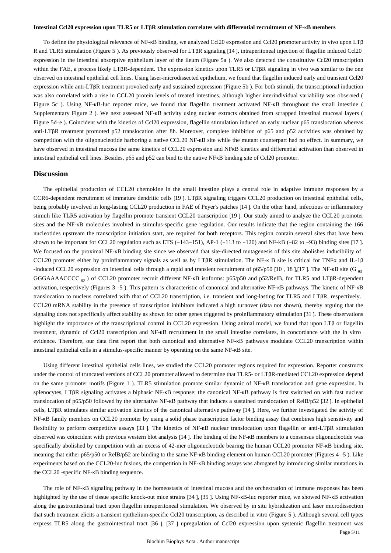#### **Intestinal Ccl20 expression upon TLR5 or LT**β**R stimulation correlates with differential recruitment of NF-**κ**B members**

To define the physiological relevance of NF-κB binding, we analyzed Ccl20 expression and Ccl20 promoter activity in vivo upon LTβ R and TLR5 stimulation (Figure 5 ). As previously observed for LTβR signaling [14 ], intraperitoneal injection of flagellin induced Ccl20 expression in the intestinal absorptive epithelium layer of the ileum (Figure 5a ). We also detected the constitutive Ccl20 transcription within the FAE, a process likely LTβR-dependent. The expression kinetics upon TLR5 or LTβR signaling in vivo was similar to the one observed on intestinal epithelial cell lines. Using laser-microdissected epithelium, we found that flagellin induced early and transient Ccl20 expression while anti-LTβR treatment provoked early and sustained expression (Figure 5b ). For both stimuli, the transcriptional induction was also correlated with a rise in CCL20 protein levels of treated intestines, although higher interindividual variability was observed ( Figure 5c ). Using NF-κB-luc reporter mice, we found that flagellin treatment activated NF-κB throughout the small intestine ( Supplementary Figure 2 ). We next assessed NF-κB activity using nuclear extracts obtained from scrapped intestinal mucosal layers ( Figure 5d–e ). Coincident with the kinetics of Ccl20 expression, flagellin stimulation induced an early nuclear p65 translocation whereas anti-LTβR treatment promoted p52 translocation after 8h. Moreover, complete inhibition of p65 and p52 activities was obtained by competition with the oligonucleotide harboring a native CCL20 NF-kB site while the mutant counterpart had no effect. In summary, we have observed in intestinal mucosa the same kinetics of CCL20 expression and NFKB kinetics and differential activation than observed in intestinal epithelial cell lines. Besides, p65 and p52 can bind to the native NFκB binding site of Ccl20 promoter.

### **Discussion**

The epithelial production of CCL20 chemokine in the small intestine plays a central role in adaptive immune responses by a CCR6-dependent recruitment of immature dendritic cells [19 ]. LTβR signaling triggers CCL20 production on intestinal epithelial cells, being probably involved in long-lasting CCL20 production in FAE of Peyer's patches [14 ]. On the other hand, infectious or inflammatory stimuli like TLR5 activation by flagellin promote transient CCL20 transcription [19 ]. Our study aimed to analyze the CCL20 promoter sites and the NF-κB molecules involved in stimulus-specific gene regulation. Our results indicate that the region containing the 166 nucleotides upstream the transcription initiation start, are required for both receptors. This region contain several sites that have been shown to be important for CCL20 regulation such as ETS (−143−151), AP-1 (−113 to −120) and NF-kB (−82 to −93) binding sites [17]. We focused on the proximal NF-<sub>KB</sub> binding site since we observed that site-directed mutagenesis of this site abolishes inducibility of CCL20 promoter either by proinflammatory signals as well as by LTβR stimulation. The NF-κ B site is critical for TNFα and IL-1β -induced CCL20 expression on intestinal cells through a rapid and transient recruitment of p65/p50 [10, 18],[17]. The NF- $\kappa$ B site (G<sub>-93</sub>) GGGAAAACCCC  $_{\text{S}}$ ) of CCL20 promoter recruit different NF- $\kappa$ B isoforms: p65/p50 and p52/RelB, for TLR5 and LT βR-dependent activation, respectively (Figures 3 –5 ). This pattern is characteristic of canonical and alternative NF-κB pathways. The kinetic of NF-κB translocation to nucleus correlated with that of CCL20 transcription, i.e. transient and long-lasting for TLR5 and LTβR, respectively. CCL20 mRNA stability in the presence of transcription inhibitors indicated a high turnover (data not shown), thereby arguing that the signaling does not specifically affect stability as shown for other genes triggered by proinflammatory stimulation [31 ]. These observations highlight the importance of the transcriptional control in CCL20 expression. Using animal model, we found that upon LTβ or flagellin treatment, dynamic of Ccl20 transcription and NF-κB recruitment in the small intestine correlates, in concordance with the in vitro evidence. Therefore, our data first report that both canonical and alternative NF-κB pathways modulate CCL20 transcription within intestinal epithelial cells in a stimulus-specific manner by operating on the same NF-κB site.

Using different intestinal epithelial cells lines, we studied the CCL20 promoter regions required for expression. Reporter constructs under the control of truncated versions of CCL20 promoter allowed to determine that TLR5- or LTβR-mediated CCL20 expression depend on the same promoter motifs (Figure 1 ). TLR5 stimulation promote similar dynamic of NF-κB translocation and gene expression. In splenocytes, LTβR signaling activates a biphasic NF-κB response; the canonical NF-κB pathway is first switched on with fast nuclear translocation of p65/p50 followed by the alternative NF-κB pathway that induces a sustained translocation of RelB/p52 [32 ]. In epithelial cells, LTβR stimulates similar activation kinetics of the canonical alternative pathway [14 ]. Here, we further investigated the activity of NF-kB family members on CCL20 promoter by using a solid phase transcription factor binding assay that combines high sensitivity and flexibility to perform competitive assays [33 ]. The kinetics of NF-κB nuclear translocation upon flagellin or anti-LTβR stimulation observed was coincident with previous western blot analysis [14 ]. The binding of the NF-κB members to a consensus oligonucleotide was specifically abolished by competition with an excess of 42-mer oligonucleotide bearing the human CCL20 promoter NF-κB binding site, meaning that either p65/p50 or RelB/p52 are binding to the same NF-κB binding element on human CCL20 promoter (Figures 4 –5 ). Like experiments based on the CCL20-luc fusions, the competition in NF-κB binding assays was abrogated by introducing similar mutations in the CCL20 -specific NF-κB binding sequence.

The role of NF- $\kappa$ B signaling pathway in the homeostasis of intestinal mucosa and the orchestration of immune responses has been highlighted by the use of tissue specific knock-out mice strains [34 ], [35 ]. Using NF-κB-luc reporter mice, we showed NF-κB activation along the gastrointestinal tract upon flagellin intraperitoneal stimulation. We observed by in situ hybridization and laser microdissection that such treatment elicits a transient epithelium-specific Ccl20 transcription, as described in vitro (Figure 5 ). Although several cell types express TLR5 along the gastrointestinal tract [36 ], [37 ] upregulation of Ccl20 expression upon systemic flagellin treatment was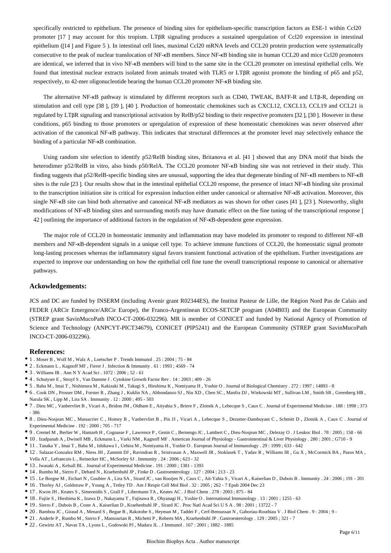specifically restricted to epithelium. The presence of binding sites for epithelium-specific transcription factors as ESE-1 within Ccl20 promoter [17 ] may account for this tropism. LTβR signaling produces a sustained upregulation of Ccl20 expression in intestinal epithelium ([14 ] and Figure 5 ). In intestinal cell lines, maximal Ccl20 mRNA levels and CCL20 protein production were systematically consecutive to the peak of nuclear translocation of NF-κB members. Since NF-κB binding site in human CCL20 and mice Ccl20 promoters are identical, we inferred that in vivo NF- $\kappa$ B members will bind to the same site in the CCL20 promoter on intestinal epithelial cells. We found that intestinal nuclear extracts isolated from animals treated with TLR5 or LTβR agonist promote the binding of p65 and p52, respectively, to 42-mer oligonucleotide bearing the human CCL20 promoter NF-κB binding site.

The alternative NF-κB pathway is stimulated by different receptors such as CD40, TWEAK, BAFF-R and LTβ-R, depending on stimulation and cell type [38 ], [39 ], [40 ]. Production of homeostatic chemokines such as CXCL12, CXCL13, CCL19 and CCL21 is regulated by LTβR signaling and transcriptional activation by RelB/p52 binding to their respective promoters [32 ], [30 ]. However in these conditions, p65 binding to those promoters or upregulation of expression of these homeostatic chemokines was never observed after activation of the canonical NF-κB pathway. This indicates that structural differences at the promoter level may selectively enhance the binding of a particular NF-κB combination.

Using random site selection to identify p52/RelB binding sites, Britanova et al. [41 ] showed that any DNA motif that binds the heterodimer p52/RelB in vitro, also binds p50/RelA. The CCL20 promoter NF-κB binding site was not retrieved in their study. This finding suggests that p52/RelB-specific binding sites are unusual, supporting the idea that degenerate binding of NF-κB members to NF-κB sites is the rule [23]. Our results show that in the intestinal epithelial CCL20 response, the presence of intact NF- $\kappa$ B binding site proximal to the transcription initiation site is critical for expression induction either under canonical or alternative NF-κB activation. Moreover, this single NF-κB site can bind both alternative and canonical NF-κB mediators as was shown for other cases [41 ], [23 ]. Noteworthy, slight modifications of NF-κB binding sites and surrounding motifs may have dramatic effect on the fine tuning of the transcriptional response [ 42 ] outlining the importance of additional factors in the regulation of NF-κB-dependent gene expression.

The major role of CCL20 in homeostatic immunity and inflammation may have modeled its promoter to respond to different NF-κB members and NF-kB-dependent signals in a unique cell type. To achieve immune functions of CCL20, the homeostatic signal promote long-lasting processes whereas the inflammatory signal favors transient functional activation of the epithelium. Further investigations are expected to improve our understanding on how the epithelial cell fine tune the overall transcriptional response to canonical or alternative pathways.

## **Ackowledgements:**

JCS and DC are funded by INSERM (including Avenir grant R02344ES), the Institut Pasteur de Lille, the Région Nord Pas de Calais and FEDER (ARCir Emergence/ARCir Europe), the Franco-Argentinean ECOS-SETCIP program (A04B03) and the European Community (STREP grant SavinMucoPath INCO-CT-2006-032296). MR is member of CONICET and funded by National Agency of Promotion of Science and Technology (ANPCYT-PICT34679), CONICET (PIP5241) and the European Community (STREP grant SavinMucoPath INCO-CT-2006-032296).

### **References:**

- 1 . Moser B , Wolf M , Walz A , Loetscher P . Trends Immunol . 25 : 2004 ; 75 84
- $\bullet$  2 . Eckmann L , Kagnoff MF , Fierer J . Infection & Immunity . 61 : 1993 ; 4569 74
- 3 . Williams IR . Ann N Y Acad Sci . 1072 : 2006 ; 52 61
- 4 . Schutyser E , Struyf S , Van Damme J . Cytokine Growth Factor Rev . 14 : 2003 ; 409 26
- 5 . Baba M , Imai T , Nishimura M , Kakizaki M , Takagi S , Hieshima K , Nomiyama H , Yoshie O . Journal of Biological Chemistry . 272 : 1997 ; 14893 8
- 6 . Cook DN , Prosser DM , Forster R , Zhang J , Kuklin NA , Abbondanzo SJ , Niu XD , Chen SC , Manfra DJ , Wiekowski MT , Sullivan LM , Smith SR , Greenberg HB , Narula SK , Lipp M , Lira SA . Immunity . 12 : 2000 ; 495 - 503
- 7 . Dieu MC , Vanbervliet B , Vicari A , Bridon JM , Oldham E , Aityahia S , Briere F , Zlotnik A , Lebecque S , Caux C . Journal of Experimental Medicine . 188 : 1998 ; 373 - 386
- 8 . Dieu-Nosjean MC , Massacrier C , Homey B , Vanbervliet B , Pin JJ , Vicari A , Lebecque S , Dezutter-Dambuyant C , Schmitt D , Zlotnik A , Caux C . Journal of Experimental Medicine . 192 : 2000 ; 705 - 717
- 9 . Cremel M , Berlier W , Hamzeh H , Cognasse F , Lawrence P , Genin C , Bernengo JC , Lambert C , Dieu-Nosjean MC , Delezay O . J Leukoc Biol . 78 : 2005 ; 158 66
- 10 . Izadpanah A , Dwinell MB , Eckmann L , Varki NM , Kagnoff MF . American Journal of Physiology Gastrointestinal & Liver Physiology . 280 : 2001 ; G710 9
- 11 . Tanaka Y , Imai T , Baba M , Ishikawa I , Uehira M , Nomiyama H , Yoshie O . European Journal of Immunology . 29 : 1999 ; 633 642
- 12 . Salazar-Gonzalez RM , Niess JH , Zammit DJ , Ravindran R , Srinivasan A , Maxwell JR , Stoklasek T , Yadav R , Williams IR , Gu X , McCormick BA , Pazos MA , Vella AT , Lefrancois L , Reinecker HC , McSorley SJ . Immunity . 24 : 2006 ; 623 - 32
- 13 . Iwasaki A , Kelsall BL . Journal of Experimental Medicine . 191 : 2000 ; 1381 1393
- 14 . Rumbo M , Sierro F , Debard N , Kraehenbuhl JP , Finke D . Gastroenterology . 127 : 2004 ; 213 23
- 15 . Le Borgne M , Etchart N , Goubier A , Lira SA , Sirard JC , van Rooijen N , Caux C , Ait-Yahia S , Vicari A , Kaiserlian D , Dubois B . Immunity . 24 : 2006 ; 191 201
- 16 . Thorley AJ , Goldstraw P , Young A , Tetley TD . Am J Respir Cell Mol Biol . 32 : 2005 ; 262 7 Epub 2004 Dec 23
- 17 . Kwon JH , Keates S , Simeonidis S , Grall F , Libermann TA , Keates AC . J Biol Chem . 278 : 2003 ; 875 84
- 18 . Fujiie S , Hieshima K , Izawa D , Nakayama T , Fujisawa R , Ohyanagi H , Yoshie O . International Immunology . 13 : 2001 ; 1255 63
- 19 . Sierro F , Dubois B , Coste A , Kaiserlian D , Kraehenbuhl JP , Sirard JC . Proc Natl Acad Sci U S A . 98 : 2001 ; 13722 7
- 20 . Bambou JC , Giraud A , Menard S , Begue B , Rakotobe S , Heyman M , Taddei F , Cerf-Bensussan N , Gaboriau-Routhiau V . J Biol Chem . 9 : 2004 ; 9 -
- 21 . Anderle P , Rumbo M , Sierro F , Mansourian R , Michetti P , Roberts MA , Kraehenbuhl JP . Gastroenterology . 129 : 2005 ; 321 7
- 22 . Gewirtz AT , Navas TA , Lyons L , Godowski PJ , Madara JL . J Immunol . 167 : 2001 ; 1882 1885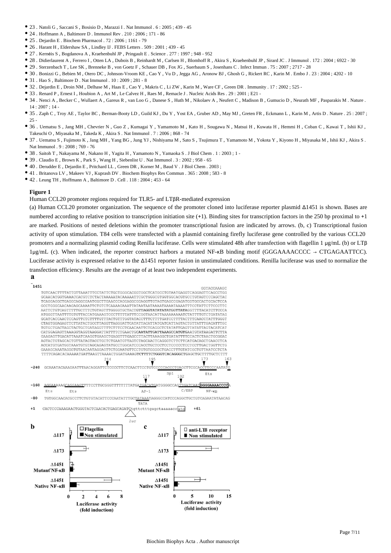- 23 . Natoli G , Saccani S , Bosisio D , Marazzi I . Nat Immunol . 6 : 2005 ; 439 45
- $\bullet$  24 . Hoffmann A , Baltimore D . Immunol Rev . 210 : 2006 ; 171 86
- 25 . Dejardin E . Biochem Pharmacol . 72 : 2006 ; 1161 79
- 26 . Harant H , Eldershaw SA , Lindley IJ . FEBS Letters . 509 : 2001 ; 439 45
- 27 . Kernéis S , Bogdanova A , Kraehenbuhl JP , Pringault E . Science . 277 : 1997 ; 948 952
- 28 . Didierlaurent A , Ferrero I , Otten LA , Dubois B , Reinhardt M , Carlsen H , Blomhoff R , Akira S , Kraehenbuhl JP , Sirard JC . J Immunol . 172 : 2004 ; 6922 30
- 29 . Sterzenbach T , Lee SK , Brenneke B , von Goetz F , Schauer DB , Fox JG , Suerbaum S , Josenhans C . Infect Immun . 75 : 2007 ; 2717 28
- 30 . Bonizzi G , Bebien M , Otero DC , Johnson-Vroom KE , Cao Y , Vu D , Jegga AG , Aronow BJ , Ghosh G , Rickert RC , Karin M . Embo J . 23 : 2004 ; 4202 10 31 . Hao S , Baltimore D . Nat Immunol . 10 : 2009 ; 281 - 8
- 32 . Dejardin E , Droin NM , Delhase M , Haas E , Cao Y , Makris C , Li ZW , Karin M , Ware CF , Green DR . Immunity . 17 : 2002 ; 525 -
- 33 . Renard P , Ernest I , Houbion A , Art M , Le Calvez H , Raes M , Remacle J . Nucleic Acids Res . 29 : 2001 ; E21 -
- 34 . Nenci A , Becker C , Wullaert A , Gareus R , van Loo G , Danese S , Huth M , Nikolaev A , Neufert C , Madison B , Gumucio D , Neurath MF , Pasparakis M . Nature . 14 : 2007 ; 14 -
- 35 . Zaph C , Troy AE , Taylor BC , Berman-Booty LD , Guild KJ , Du Y , Yost EA , Gruber AD , May MJ , Greten FR , Eckmann L , Karin M , Artis D . Nature . 25 : 2007 ;  $25 -$
- 36 . Uematsu S , Jang MH , Chevrier N , Guo Z , Kumagai Y , Yamamoto M , Kato H , Sougawa N , Matsui H , Kuwata H , Hemmi H , Coban C , Kawai T , Ishii KJ , Takeuchi O , Miyasaka M , Takeda K , Akira S . Nat Immunol . 7 : 2006 ; 868 - 74
- 37 . Uematsu S , Fujimoto K , Jang MH , Yang BG , Jung YJ , Nishiyama M , Sato S , Tsujimura T , Yamamoto M , Yokota Y , Kiyono H , Miyasaka M , Ishii KJ , Akira S . Nat Immunol . 9 : 2008 ; 769 - 76
- 38 . Saitoh T , Nakayama M , Nakano H , Yagita H , Yamamoto N , Yamaoka S . J Biol Chem . 1 : 2003 ; 1 -
- 39 . Claudio E , Brown K , Park S , Wang H , Siebenlist U . Nat Immunol . 3 : 2002 ; 958 65
- 40 . Derudder E , Dejardin E , Pritchard LL , Green DR , Korner M , Baud V . J Biol Chem . 2003 ;
- 41 . Britanova LV , Makeev VJ , Kuprash DV . Biochem Biophys Res Commun . 365 : 2008 ; 583 8
- $\bullet$  42 . Leung TH , Hoffmann A , Baltimore D . Cell . 118 : 2004 ; 453 64

Human CCL20 promoter regions required for TLR5- anf LTβR-mediated expression

(a) Human CCL20 promoter organization. The sequence of the promoter cloned into luciferase reporter plasmid Δ1451 is shown. Bases are numbered according to relative position to transcription initiation site (+1). Binding sites for transcription factors in the 250 bp proximal to +1 are marked. Positions of nested deletions within the promoter transcriptional fusion are indicated by arrows. (b, c) Transcriptional fusion activity of upon stimulation. T84 cells were transfected with a plasmid containing firefly luciferase gene controlled by the various CCL20 promoters and a normalizing plasmid coding Renilla luciferase. Cells were stimulated 48h after transfection with flagellin 1 μg/mL (b) or LTβ 1μg/mL (c). When indicated, the reporter construct harbors a mutated NF-κB binding motif (GGGAAAACCCC → CTGAGAATTCC). Luciferase activity is expressed relative to the Δ1451 reporter fusion in unstimulated conditions. Renilla luciferase was used to normalize the transfection efficiency. Results are the average of at least two independent experiments.

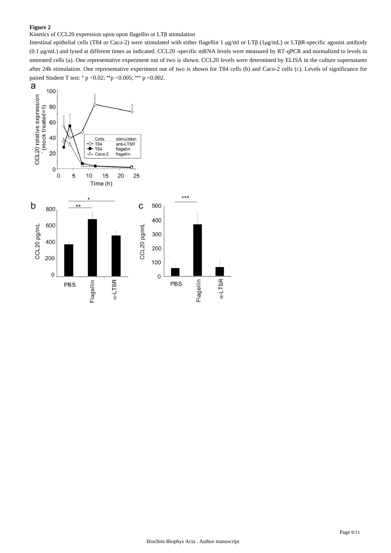## Kinetics of CCL20 expression upon upon flagellin or LTβ stimulation

Intestinal epithelial cells (T84 or Caco-2) were stimulated with either flagellin 1 μg/ml or LTβ (1μg/mL) or LTβR-specific agonist antibody (0.1 μg/mL) and lysed at different times as indicated. CCL20 -specific mRNA levels were measured by RT-qPCR and normalized to levels in untreated cells (a). One representative experiment out of two is shown. CCL20 levels were determined by ELISA in the culture supernatants after 24h stimulation. One representative experiment out of two is shown for T84 cells (b) and Caco-2 cells (c). Levels of significance for paired Student T test: \* p <0.02; \*\*p <0.005; \*\*\* p <0.002.

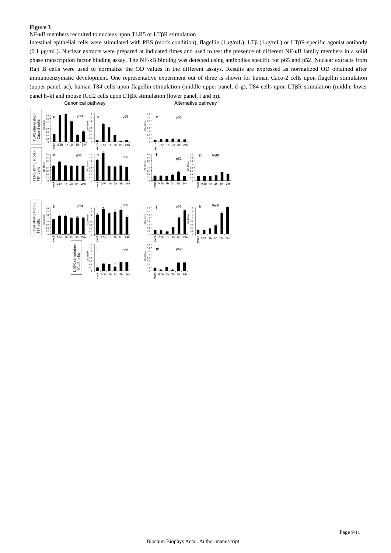NF-κB members recruited to nucleus upon TLR5 or LTβR stimulation

Intestinal epithelial cells were stimulated with PBS (mock condition), flagellin (1μg/mL), LTβ (1μg/mL) or LTβR-specific agonist antibody (0.1 μg/mL). Nuclear extracts were prepared at indicated times and used to test the presence of different NF-κB family members in a solid phase transcription factor binding assay. The NF-κB binding was detected using antibodies specific for p65 and p52. Nuclear extracts from Raji B cells were used to normalize the OD values in the different assays. Results are expressed as normalized OD obtained after immunoenzymatic development. One representative experiment out of three is shown for human Caco-2 cells upon flagellin stimulation (upper panel, ac), human T84 cells upon flagellin stimulation (middle upper panel, d–g), T84 cells upon LTβR stimulation (middle lower panel h–k) and mouse ICcl2 cells upon LTβR stimulation (lower panel, l and m).Canonical pathway Alternative pathway

 $\begin{matrix} 1.6 \\ 1.4 \end{matrix}$ p65  $\mathbf{c}$  $n52$ **TLR5** stimulati A 8h 24h mock  $0.5h$ 16  $2h$  $\begin{array}{c} 1.6 \\ 1.4 \\ 1.2 \end{array}$ RelB  $\mathsf{g}$ **TLR5** stimulation  $n52$ ells: **B4** LTßR stimulation<br>T84 cells nock mock LTBR stimulation<br>- ICcl2 cells 1.6<br>
1.4<br>
1.2<br>
1.2<br>
1.2<br>
0.8<br>
0.6<br>
0.4<br>
0.2  $\mathsf{m}$ p52  $p65$  $0.5h$ iock hock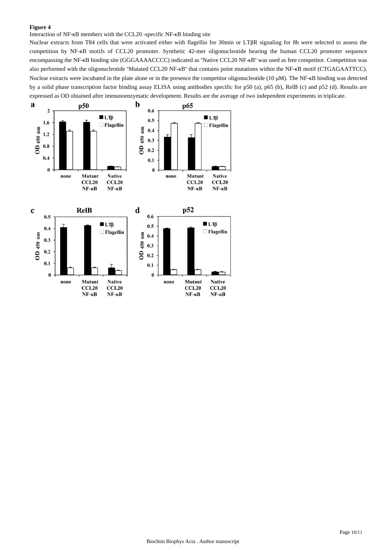Interaction of NF-κB members with the CCL20 -specific NF-κB binding site

Nuclear extracts from T84 cells that were activated either with flagellin for 30min or LTβR signaling for 8h were selected to assess the competition by NF-κB motifs of CCL20 promoter. Synthetic 42-mer oligonucleotide bearing the human CCL20 promoter sequence encompassing the NF-κB binding site (GGGAAAACCCC) indicated as "Native CCL20 NF-κB" was used as free competitor. Competition was also performed with the oligonucleotide "Mutated CCL20 NF-κB" that contains point mutations within the NF-κB motif (CTGAGAATTCC). Nuclear extracts were incubated in the plate alone or in the presence the competitor oligonucleotide (10 μM). The NF-κB binding was detected by a solid phase transcription factor binding assay ELISA using antibodies specific for p50 (a), p65 (b), RelB (c) and p52 (d). Results are expressed as OD obtained after immunoenzymatic development. Results are the average of two independent experiments in triplicate.